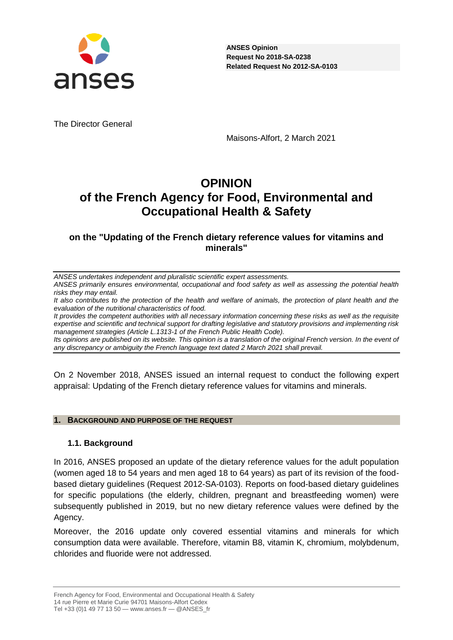

The Director General

Maisons-Alfort, 2 March 2021

# **OPINION of the French Agency for Food, Environmental and Occupational Health & Safety**

# **on the "Updating of the French dietary reference values for vitamins and minerals"**

*ANSES undertakes independent and pluralistic scientific expert assessments.*

*ANSES primarily ensures environmental, occupational and food safety as well as assessing the potential health risks they may entail.*

*It also contributes to the protection of the health and welfare of animals, the protection of plant health and the evaluation of the nutritional characteristics of food.*

*It provides the competent authorities with all necessary information concerning these risks as well as the requisite expertise and scientific and technical support for drafting legislative and statutory provisions and implementing risk management strategies (Article L.1313-1 of the French Public Health Code).* 

*Its opinions are published on its website. This opinion is a translation of the original French version. In the event of any discrepancy or ambiguity the French language text dated 2 March 2021 shall prevail.*

On 2 November 2018, ANSES issued an internal request to conduct the following expert appraisal: Updating of the French dietary reference values for vitamins and minerals.

### **1. BACKGROUND AND PURPOSE OF THE REQUEST**

### **1.1. Background**

In 2016, ANSES proposed an update of the dietary reference values for the adult population (women aged 18 to 54 years and men aged 18 to 64 years) as part of its revision of the foodbased dietary guidelines (Request 2012-SA-0103). Reports on food-based dietary guidelines for specific populations (the elderly, children, pregnant and breastfeeding women) were subsequently published in 2019, but no new dietary reference values were defined by the Agency.

Moreover, the 2016 update only covered essential vitamins and minerals for which consumption data were available. Therefore, vitamin B8, vitamin K, chromium, molybdenum, chlorides and fluoride were not addressed.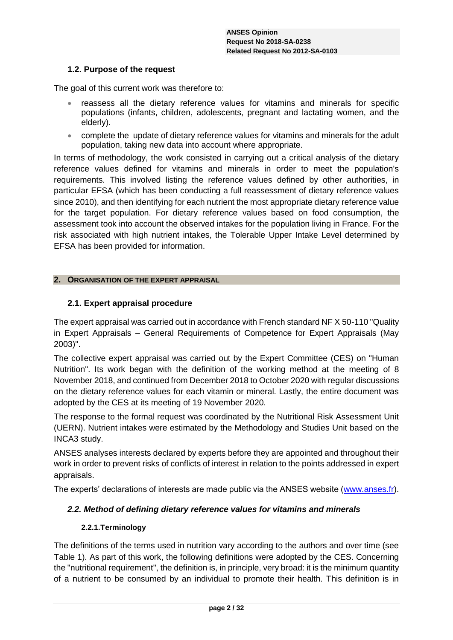### **1.2. Purpose of the request**

The goal of this current work was therefore to:

- reassess all the dietary reference values for vitamins and minerals for specific populations (infants, children, adolescents, pregnant and lactating women, and the elderly).
- complete the update of dietary reference values for vitamins and minerals for the adult population, taking new data into account where appropriate.

In terms of methodology, the work consisted in carrying out a critical analysis of the dietary reference values defined for vitamins and minerals in order to meet the population's requirements. This involved listing the reference values defined by other authorities, in particular EFSA (which has been conducting a full reassessment of dietary reference values since 2010), and then identifying for each nutrient the most appropriate dietary reference value for the target population. For dietary reference values based on food consumption, the assessment took into account the observed intakes for the population living in France. For the risk associated with high nutrient intakes, the Tolerable Upper Intake Level determined by EFSA has been provided for information.

### **2. ORGANISATION OF THE EXPERT APPRAISAL**

### **2.1. Expert appraisal procedure**

The expert appraisal was carried out in accordance with French standard NF X 50-110 "Quality in Expert Appraisals – General Requirements of Competence for Expert Appraisals (May 2003)".

The collective expert appraisal was carried out by the Expert Committee (CES) on "Human Nutrition". Its work began with the definition of the working method at the meeting of 8 November 2018, and continued from December 2018 to October 2020 with regular discussions on the dietary reference values for each vitamin or mineral. Lastly, the entire document was adopted by the CES at its meeting of 19 November 2020.

The response to the formal request was coordinated by the Nutritional Risk Assessment Unit (UERN). Nutrient intakes were estimated by the Methodology and Studies Unit based on the INCA3 study.

ANSES analyses interests declared by experts before they are appointed and throughout their work in order to prevent risks of conflicts of interest in relation to the points addressed in expert appraisals.

The experts' declarations of interests are made public via the ANSES website [\(www.anses.fr\)](http://www.anses.fr/).

### *2.2. Method of defining dietary reference values for vitamins and minerals*

### **2.2.1.Terminology**

The definitions of the terms used in nutrition vary according to the authors and over time (see [Table 1\)](#page-4-0). As part of this work, the following definitions were adopted by the CES. Concerning the "nutritional requirement", the definition is, in principle, very broad: it is the minimum quantity of a nutrient to be consumed by an individual to promote their health. This definition is in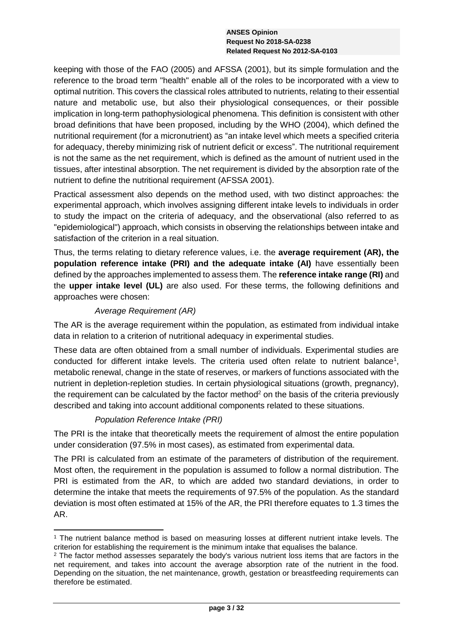keeping with those of the FAO (2005) and AFSSA (2001), but its simple formulation and the reference to the broad term "health" enable all of the roles to be incorporated with a view to optimal nutrition. This covers the classical roles attributed to nutrients, relating to their essential nature and metabolic use, but also their physiological consequences, or their possible implication in long-term pathophysiological phenomena. This definition is consistent with other broad definitions that have been proposed, including by the WHO (2004), which defined the nutritional requirement (for a micronutrient) as "an intake level which meets a specified criteria for adequacy, thereby minimizing risk of nutrient deficit or excess". The nutritional requirement is not the same as the net requirement, which is defined as the amount of nutrient used in the tissues, after intestinal absorption. The net requirement is divided by the absorption rate of the nutrient to define the nutritional requirement (AFSSA 2001).

Practical assessment also depends on the method used, with two distinct approaches: the experimental approach, which involves assigning different intake levels to individuals in order to study the impact on the criteria of adequacy, and the observational (also referred to as "epidemiological") approach, which consists in observing the relationships between intake and satisfaction of the criterion in a real situation.

Thus, the terms relating to dietary reference values, i.e. the **average requirement (AR), the population reference intake (PRI) and the adequate intake (AI)** have essentially been defined by the approaches implemented to assess them. The **reference intake range (RI)** and the **upper intake level (UL)** are also used. For these terms, the following definitions and approaches were chosen:

# *Average Requirement (AR)*

The AR is the average requirement within the population, as estimated from individual intake data in relation to a criterion of nutritional adequacy in experimental studies.

These data are often obtained from a small number of individuals. Experimental studies are conducted for different intake levels. The criteria used often relate to nutrient balance<sup>1</sup>, metabolic renewal, change in the state of reserves, or markers of functions associated with the nutrient in depletion-repletion studies. In certain physiological situations (growth, pregnancy), the requirement can be calculated by the factor method<sup>2</sup> on the basis of the criteria previously described and taking into account additional components related to these situations.

# *Population Reference Intake (PRI)*

The PRI is the intake that theoretically meets the requirement of almost the entire population under consideration (97.5% in most cases), as estimated from experimental data.

The PRI is calculated from an estimate of the parameters of distribution of the requirement. Most often, the requirement in the population is assumed to follow a normal distribution. The PRI is estimated from the AR, to which are added two standard deviations, in order to determine the intake that meets the requirements of 97.5% of the population. As the standard deviation is most often estimated at 15% of the AR, the PRI therefore equates to 1.3 times the AR.

<sup>-</sup><sup>1</sup> The nutrient balance method is based on measuring losses at different nutrient intake levels. The criterion for establishing the requirement is the minimum intake that equalises the balance.

 $2$  The factor method assesses separately the body's various nutrient loss items that are factors in the net requirement, and takes into account the average absorption rate of the nutrient in the food. Depending on the situation, the net maintenance, growth, gestation or breastfeeding requirements can therefore be estimated.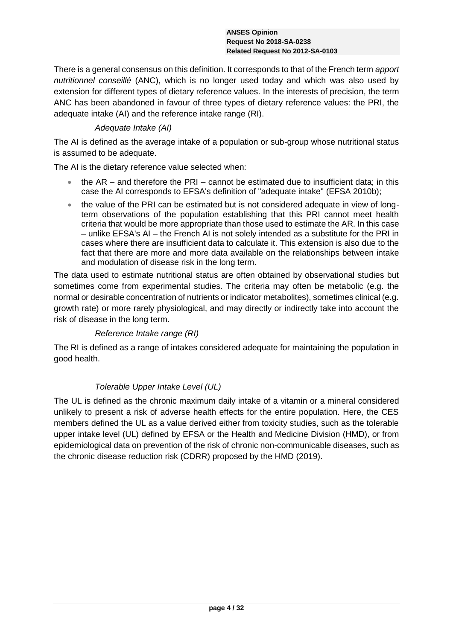There is a general consensus on this definition. It corresponds to that of the French term *apport nutritionnel conseillé* (ANC), which is no longer used today and which was also used by extension for different types of dietary reference values. In the interests of precision, the term ANC has been abandoned in favour of three types of dietary reference values: the PRI, the adequate intake (AI) and the reference intake range (RI).

# *Adequate Intake (AI)*

The AI is defined as the average intake of a population or sub-group whose nutritional status is assumed to be adequate.

The AI is the dietary reference value selected when:

- $\bullet$  the AR and therefore the PRI cannot be estimated due to insufficient data; in this case the AI corresponds to EFSA's definition of "adequate intake" (EFSA 2010b);
- the value of the PRI can be estimated but is not considered adequate in view of longterm observations of the population establishing that this PRI cannot meet health criteria that would be more appropriate than those used to estimate the AR. In this case – unlike EFSA's AI – the French AI is not solely intended as a substitute for the PRI in cases where there are insufficient data to calculate it. This extension is also due to the fact that there are more and more data available on the relationships between intake and modulation of disease risk in the long term.

The data used to estimate nutritional status are often obtained by observational studies but sometimes come from experimental studies. The criteria may often be metabolic (e.g. the normal or desirable concentration of nutrients or indicator metabolites), sometimes clinical (e.g. growth rate) or more rarely physiological, and may directly or indirectly take into account the risk of disease in the long term.

*Reference Intake range (RI)*

The RI is defined as a range of intakes considered adequate for maintaining the population in good health.

# *Tolerable Upper Intake Level (UL)*

The UL is defined as the chronic maximum daily intake of a vitamin or a mineral considered unlikely to present a risk of adverse health effects for the entire population. Here, the CES members defined the UL as a value derived either from toxicity studies, such as the tolerable upper intake level (UL) defined by EFSA or the Health and Medicine Division (HMD), or from epidemiological data on prevention of the risk of chronic non-communicable diseases, such as the chronic disease reduction risk (CDRR) proposed by the HMD (2019).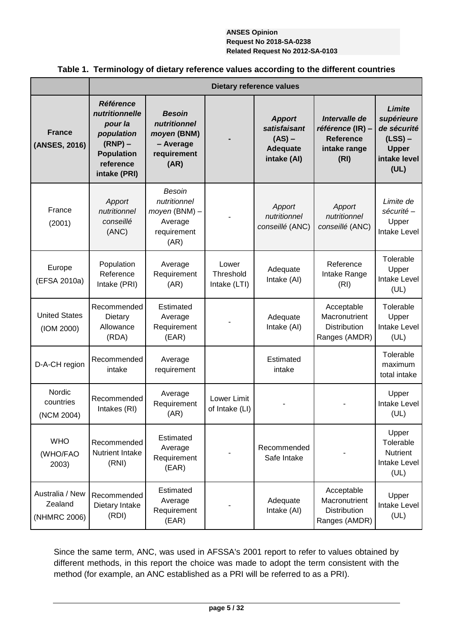|                                            |                                                                                                                            |                                                                                  |                                    | <b>Dietary reference values</b>                                             |                                                                               |                                                                                          |
|--------------------------------------------|----------------------------------------------------------------------------------------------------------------------------|----------------------------------------------------------------------------------|------------------------------------|-----------------------------------------------------------------------------|-------------------------------------------------------------------------------|------------------------------------------------------------------------------------------|
| <b>France</b><br>(ANSES, 2016)             | <b>Référence</b><br>nutritionnelle<br>pour la<br>population<br>$(RNP)$ –<br><b>Population</b><br>reference<br>intake (PRI) | <b>Besoin</b><br>nutritionnel<br>moyen (BNM)<br>- Average<br>requirement<br>(AR) |                                    | <b>Apport</b><br>satisfaisant<br>$(AS)$ –<br><b>Adequate</b><br>intake (Al) | Intervalle de<br>référence (IR) –<br><b>Reference</b><br>intake range<br>(RI) | Limite<br>supérieure<br>de sécurité<br>$(LSS)$ –<br><b>Upper</b><br>intake level<br>(UL) |
| France<br>(2001)                           | Apport<br>nutritionnel<br>conseillé<br>(ANC)                                                                               | Besoin<br>nutritionnel<br>$moyen$ (BNM) $-$<br>Average<br>requirement<br>(AR)    |                                    | Apport<br>nutritionnel<br>conseillé (ANC)                                   | Apport<br>nutritionnel<br>conseillé (ANC)                                     | Limite de<br>sécurité -<br>Upper<br>Intake Level                                         |
| Europe<br>(EFSA 2010a)                     | Population<br>Reference<br>Intake (PRI)                                                                                    | Average<br>Requirement<br>(AR)                                                   | Lower<br>Threshold<br>Intake (LTI) | Adequate<br>Intake (AI)                                                     | Reference<br>Intake Range<br>(RI)                                             | Tolerable<br>Upper<br>Intake Level<br>(UL)                                               |
| <b>United States</b><br>(IOM 2000)         | Recommended<br>Dietary<br>Allowance<br>(RDA)                                                                               | Estimated<br>Average<br>Requirement<br>(EAR)                                     |                                    | Adequate<br>Intake (AI)                                                     | Acceptable<br>Macronutrient<br><b>Distribution</b><br>Ranges (AMDR)           | Tolerable<br>Upper<br>Intake Level<br>(UL)                                               |
| D-A-CH region                              | Recommended<br>intake                                                                                                      | Average<br>requirement                                                           |                                    | Estimated<br>intake                                                         |                                                                               | Tolerable<br>maximum<br>total intake                                                     |
| Nordic<br>countries<br>(NCM 2004)          | Recommended<br>Intakes (RI)                                                                                                | Average<br>Requirement<br>(AR)                                                   | Lower Limit<br>of Intake (LI)      |                                                                             |                                                                               | Upper<br>Intake Level<br>(UL)                                                            |
| <b>WHO</b><br>(WHO/FAO<br>2003)            | Recommended<br><b>Nutrient Intake</b><br>(RNI)                                                                             | Estimated<br>Average<br>Requirement<br>(EAR)                                     |                                    | Recommended<br>Safe Intake                                                  |                                                                               | Upper<br>Tolerable<br><b>Nutrient</b><br><b>Intake Level</b><br>(UL)                     |
| Australia / New<br>Zealand<br>(NHMRC 2006) | Recommended<br>Dietary Intake<br>(RDI)                                                                                     | Estimated<br>Average<br>Requirement<br>(EAR)                                     |                                    | Adequate<br>Intake (AI)                                                     |                                                                               | Upper<br>Intake Level<br>(UL)                                                            |

# <span id="page-4-0"></span>**Table 1. Terminology of dietary reference values according to the different countries**

Since the same term, ANC, was used in AFSSA's 2001 report to refer to values obtained by different methods, in this report the choice was made to adopt the term consistent with the method (for example, an ANC established as a PRI will be referred to as a PRI).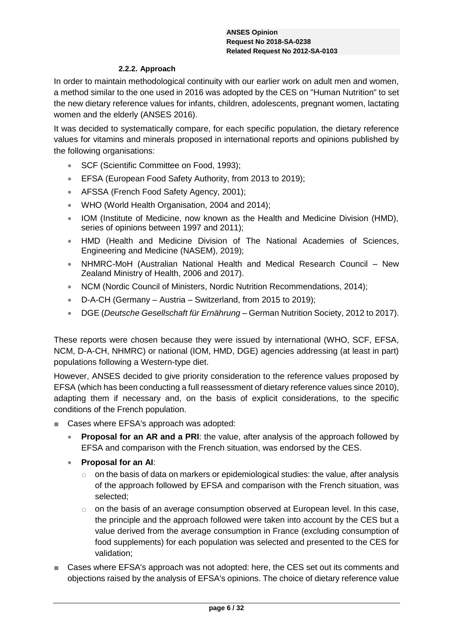### **2.2.2. Approach**

<span id="page-5-0"></span>In order to maintain methodological continuity with our earlier work on adult men and women, a method similar to the one used in 2016 was adopted by the CES on "Human Nutrition" to set the new dietary reference values for infants, children, adolescents, pregnant women, lactating women and the elderly (ANSES 2016).

It was decided to systematically compare, for each specific population, the dietary reference values for vitamins and minerals proposed in international reports and opinions published by the following organisations:

- SCF (Scientific Committee on Food, 1993);
- EFSA (European Food Safety Authority, from 2013 to 2019);
- AFSSA (French Food Safety Agency, 2001);
- WHO (World Health Organisation, 2004 and 2014);
- IOM (Institute of Medicine, now known as the Health and Medicine Division (HMD), series of opinions between 1997 and 2011);
- HMD (Health and Medicine Division of The National Academies of Sciences, Engineering and Medicine (NASEM), 2019);
- NHMRC-MoH (Australian National Health and Medical Research Council New Zealand Ministry of Health, 2006 and 2017).
- NCM (Nordic Council of Ministers, Nordic Nutrition Recommendations, 2014);
- D-A-CH (Germany Austria Switzerland, from 2015 to 2019);
- DGE (*Deutsche Gesellschaft für Ernährung* German Nutrition Society, 2012 to 2017).

These reports were chosen because they were issued by international (WHO, SCF, EFSA, NCM, D-A-CH, NHMRC) or national (IOM, HMD, DGE) agencies addressing (at least in part) populations following a Western-type diet.

However, ANSES decided to give priority consideration to the reference values proposed by EFSA (which has been conducting a full reassessment of dietary reference values since 2010), adapting them if necessary and, on the basis of explicit considerations, to the specific conditions of the French population.

- Cases where EFSA's approach was adopted:
	- **Proposal for an AR and a PRI:** the value, after analysis of the approach followed by EFSA and comparison with the French situation, was endorsed by the CES.
	- **Proposal for an AI**:
		- $\circ$  on the basis of data on markers or epidemiological studies: the value, after analysis of the approach followed by EFSA and comparison with the French situation, was selected;
		- $\circ$  on the basis of an average consumption observed at European level. In this case, the principle and the approach followed were taken into account by the CES but a value derived from the average consumption in France (excluding consumption of food supplements) for each population was selected and presented to the CES for validation;
- Cases where EFSA's approach was not adopted: here, the CES set out its comments and objections raised by the analysis of EFSA's opinions. The choice of dietary reference value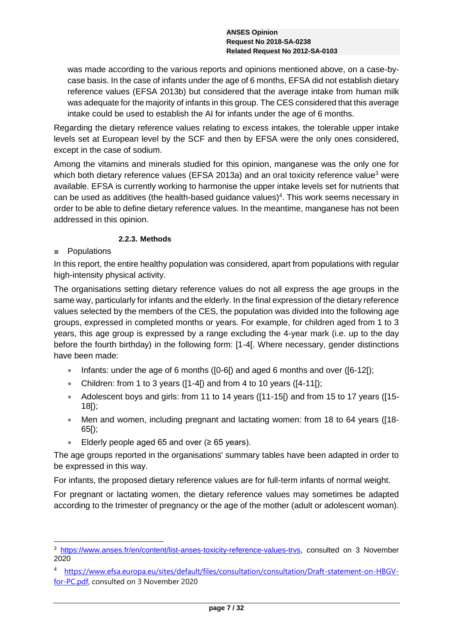was made according to the various reports and opinions mentioned above, on a case-bycase basis. In the case of infants under the age of 6 months, EFSA did not establish dietary reference values (EFSA 2013b) but considered that the average intake from human milk was adequate for the majority of infants in this group. The CES considered that this average intake could be used to establish the AI for infants under the age of 6 months.

Regarding the dietary reference values relating to excess intakes, the tolerable upper intake levels set at European level by the SCF and then by EFSA were the only ones considered, except in the case of sodium.

Among the vitamins and minerals studied for this opinion, manganese was the only one for which both dietary reference values (EFSA 2013a) and an oral toxicity reference value<sup>3</sup> were available. EFSA is currently working to harmonise the upper intake levels set for nutrients that can be used as additives (the health-based guidance values)<sup>4</sup>. This work seems necessary in order to be able to define dietary reference values. In the meantime, manganese has not been addressed in this opinion.

# **2.2.3. Methods**

# **Populations**

-

In this report, the entire healthy population was considered, apart from populations with regular high-intensity physical activity.

The organisations setting dietary reference values do not all express the age groups in the same way, particularly for infants and the elderly. In the final expression of the dietary reference values selected by the members of the CES, the population was divided into the following age groups, expressed in completed months or years. For example, for children aged from 1 to 3 years, this age group is expressed by a range excluding the 4-year mark (i.e. up to the day before the fourth birthday) in the following form: [1-4[. Where necessary, gender distinctions have been made:

- Infants: under the age of 6 months ( $[0-6]$ ) and aged 6 months and over ( $[6-12]$ );
- Children: from 1 to 3 years ( $[1-4]$ ) and from 4 to 10 years ( $[4-11]$ );
- Adolescent boys and girls: from 11 to 14 years ([11-15]) and from 15 to 17 years ([15-18[);
- Men and women, including pregnant and lactating women: from 18 to 64 years ([18- 65[);
- Elderly people aged 65 and over (≥ 65 years).

The age groups reported in the organisations' summary tables have been adapted in order to be expressed in this way.

For infants, the proposed dietary reference values are for full-term infants of normal weight.

For pregnant or lactating women, the dietary reference values may sometimes be adapted according to the trimester of pregnancy or the age of the mother (adult or adolescent woman).

<sup>3</sup> [https://www.anses.fr/en/content/list-anses-toxicity-reference-values-trvs,](https://www.anses.fr/en/content/list-toxicity-reference-values-trvs-established-anses) consulted on 3 November 2020

<sup>4</sup> [https://www.efsa.europa.eu/sites/default/files/consultation/consultation/Draft-statement-on-HBGV](https://www.efsa.europa.eu/sites/default/files/consultation/consultation/Draft-statement-on-HBGV-for-PC.pdf)[for-PC.pdf,](https://www.efsa.europa.eu/sites/default/files/consultation/consultation/Draft-statement-on-HBGV-for-PC.pdf) consulted on 3 November 2020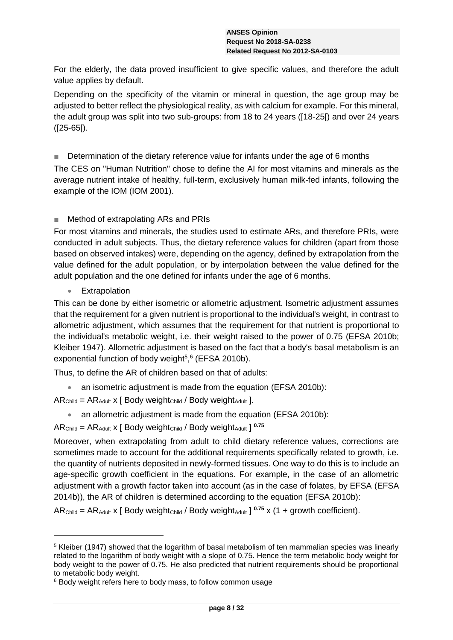For the elderly, the data proved insufficient to give specific values, and therefore the adult value applies by default.

Depending on the specificity of the vitamin or mineral in question, the age group may be adjusted to better reflect the physiological reality, as with calcium for example. For this mineral, the adult group was split into two sub-groups: from 18 to 24 years ([18-25[) and over 24 years ([25-65[).

■ Determination of the dietary reference value for infants under the age of 6 months

The CES on "Human Nutrition" chose to define the AI for most vitamins and minerals as the average nutrient intake of healthy, full-term, exclusively human milk-fed infants, following the example of the IOM (IOM 2001).

# ■ Method of extrapolating ARs and PRIs

For most vitamins and minerals, the studies used to estimate ARs, and therefore PRIs, were conducted in adult subjects. Thus, the dietary reference values for children (apart from those based on observed intakes) were, depending on the agency, defined by extrapolation from the value defined for the adult population, or by interpolation between the value defined for the adult population and the one defined for infants under the age of 6 months.

**Extrapolation** 

-

This can be done by either isometric or allometric adjustment. Isometric adjustment assumes that the requirement for a given nutrient is proportional to the individual's weight, in contrast to allometric adjustment, which assumes that the requirement for that nutrient is proportional to the individual's metabolic weight, i.e. their weight raised to the power of 0.75 (EFSA 2010b; Kleiber 1947). Allometric adjustment is based on the fact that a body's basal metabolism is an exponential function of body weight $5,6$  (EFSA 2010b).

Thus, to define the AR of children based on that of adults:

- an isometric adjustment is made from the equation (EFSA 2010b):
- $AR<sub>Child</sub> = AR<sub>Adult</sub> x [ Body weight<sub>Child</sub> / Body weight<sub>Adult</sub>].$ 
	- an allometric adjustment is made from the equation (EFSA 2010b):
- $AR<sub>Child</sub> = AR<sub>Adult</sub> x [ Body weight<sub>Child</sub> / Body weight<sub>Adult</sub> ]<sup>0.75</sup>$

Moreover, when extrapolating from adult to child dietary reference values, corrections are sometimes made to account for the additional requirements specifically related to growth, i.e. the quantity of nutrients deposited in newly-formed tissues. One way to do this is to include an age-specific growth coefficient in the equations. For example, in the case of an allometric adjustment with a growth factor taken into account (as in the case of folates, by EFSA (EFSA 2014b)), the AR of children is determined according to the equation (EFSA 2010b):

AR<sub>Child</sub> = AR<sub>Adult</sub> x [ Body weight<sub>Child</sub> / Body weight<sub>Adult</sub> ]  $^{0.75}$  x (1 + growth coefficient).

<sup>5</sup> Kleiber (1947) showed that the logarithm of basal metabolism of ten mammalian species was linearly related to the logarithm of body weight with a slope of 0.75. Hence the term metabolic body weight for body weight to the power of 0.75. He also predicted that nutrient requirements should be proportional to metabolic body weight.

<sup>&</sup>lt;sup>6</sup> Body weight refers here to body mass, to follow common usage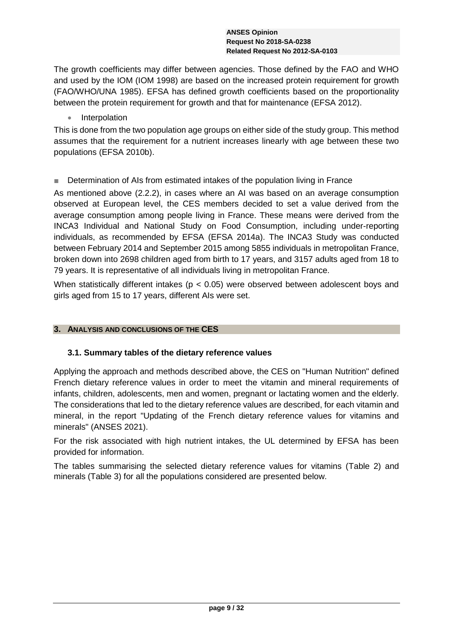The growth coefficients may differ between agencies. Those defined by the FAO and WHO and used by the IOM (IOM 1998) are based on the increased protein requirement for growth (FAO/WHO/UNA 1985). EFSA has defined growth coefficients based on the proportionality between the protein requirement for growth and that for maintenance (EFSA 2012).

• Interpolation

This is done from the two population age groups on either side of the study group. This method assumes that the requirement for a nutrient increases linearly with age between these two populations (EFSA 2010b).

■ Determination of AIs from estimated intakes of the population living in France

As mentioned above [\(2.2.2\)](#page-5-0), in cases where an AI was based on an average consumption observed at European level, the CES members decided to set a value derived from the average consumption among people living in France. These means were derived from the INCA3 Individual and National Study on Food Consumption, including under-reporting individuals, as recommended by EFSA (EFSA 2014a). The INCA3 Study was conducted between February 2014 and September 2015 among 5855 individuals in metropolitan France, broken down into 2698 children aged from birth to 17 years, and 3157 adults aged from 18 to 79 years. It is representative of all individuals living in metropolitan France.

When statistically different intakes ( $p < 0.05$ ) were observed between adolescent boys and girls aged from 15 to 17 years, different AIs were set.

# **3. ANALYSIS AND CONCLUSIONS OF THE CES**

# **3.1. Summary tables of the dietary reference values**

Applying the approach and methods described above, the CES on "Human Nutrition" defined French dietary reference values in order to meet the vitamin and mineral requirements of infants, children, adolescents, men and women, pregnant or lactating women and the elderly. The considerations that led to the dietary reference values are described, for each vitamin and mineral, in the report "Updating of the French dietary reference values for vitamins and minerals" (ANSES 2021).

For the risk associated with high nutrient intakes, the UL determined by EFSA has been provided for information.

The tables summarising the selected dietary reference values for vitamins [\(Table 2\)](#page-9-0) and minerals [\(Table 3\)](#page-12-0) for all the populations considered are presented below.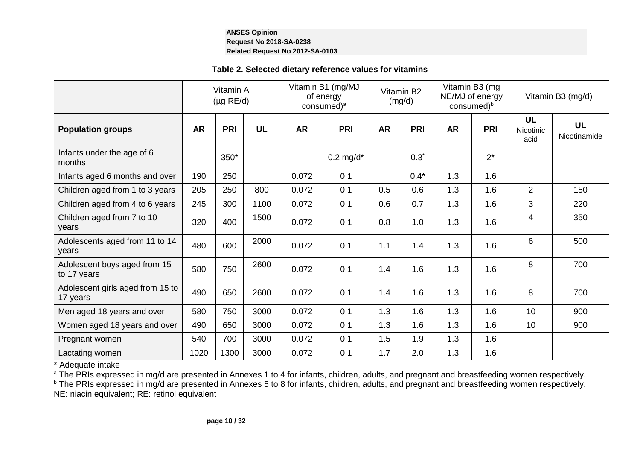# **Table 2. Selected dietary reference values for vitamins**

|                                              | Vitamin A<br>$(\mu g \text{ RE}/d)$ |            | Vitamin B1 (mg/MJ<br>of energy<br>consumed) <sup>a</sup> |           | Vitamin B2<br>(mg/d) |           | Vitamin B3 (mg<br>NE/MJ of energy<br>consumed) <sup>b</sup> |           | Vitamin B3 (mg/d) |                                |                           |
|----------------------------------------------|-------------------------------------|------------|----------------------------------------------------------|-----------|----------------------|-----------|-------------------------------------------------------------|-----------|-------------------|--------------------------------|---------------------------|
| <b>Population groups</b>                     | <b>AR</b>                           | <b>PRI</b> | <b>UL</b>                                                | <b>AR</b> | <b>PRI</b>           | <b>AR</b> | <b>PRI</b>                                                  | <b>AR</b> | <b>PRI</b>        | <b>UL</b><br>Nicotinic<br>acid | <b>UL</b><br>Nicotinamide |
| Infants under the age of 6<br>months         |                                     | 350*       |                                                          |           | $0.2$ mg/d*          |           | $0.3^*$                                                     |           | $2^*$             |                                |                           |
| Infants aged 6 months and over               | 190                                 | 250        |                                                          | 0.072     | 0.1                  |           | $0.4*$                                                      | 1.3       | 1.6               |                                |                           |
| Children aged from 1 to 3 years              | 205                                 | 250        | 800                                                      | 0.072     | 0.1                  | 0.5       | 0.6                                                         | 1.3       | 1.6               | 2                              | 150                       |
| Children aged from 4 to 6 years              | 245                                 | 300        | 1100                                                     | 0.072     | 0.1                  | 0.6       | 0.7                                                         | 1.3       | 1.6               | 3                              | 220                       |
| Children aged from 7 to 10<br>years          | 320                                 | 400        | 1500                                                     | 0.072     | 0.1                  | 0.8       | 1.0                                                         | 1.3       | 1.6               | 4                              | 350                       |
| Adolescents aged from 11 to 14<br>years      | 480                                 | 600        | 2000                                                     | 0.072     | 0.1                  | 1.1       | 1.4                                                         | 1.3       | 1.6               | 6                              | 500                       |
| Adolescent boys aged from 15<br>to 17 years  | 580                                 | 750        | 2600                                                     | 0.072     | 0.1                  | 1.4       | 1.6                                                         | 1.3       | 1.6               | 8                              | 700                       |
| Adolescent girls aged from 15 to<br>17 years | 490                                 | 650        | 2600                                                     | 0.072     | 0.1                  | 1.4       | 1.6                                                         | 1.3       | 1.6               | 8                              | 700                       |
| Men aged 18 years and over                   | 580                                 | 750        | 3000                                                     | 0.072     | 0.1                  | 1.3       | 1.6                                                         | 1.3       | 1.6               | 10                             | 900                       |
| Women aged 18 years and over                 | 490                                 | 650        | 3000                                                     | 0.072     | 0.1                  | 1.3       | 1.6                                                         | 1.3       | 1.6               | 10                             | 900                       |
| Pregnant women                               | 540                                 | 700        | 3000                                                     | 0.072     | 0.1                  | 1.5       | 1.9                                                         | 1.3       | 1.6               |                                |                           |
| Lactating women                              | 1020                                | 1300       | 3000                                                     | 0.072     | 0.1                  | 1.7       | 2.0                                                         | 1.3       | 1.6               |                                |                           |

<span id="page-9-0"></span>\* Adequate intake

<sup>a</sup> The PRIs expressed in mg/d are presented in Annexes 1 to 4 for infants, children, adults, and pregnant and breastfeeding women respectively.

<sup>b</sup> The PRIs expressed in mg/d are presented in Annexes 5 to 8 for infants, children, adults, and pregnant and breastfeeding women respectively.

NE: niacin equivalent; RE: retinol equivalent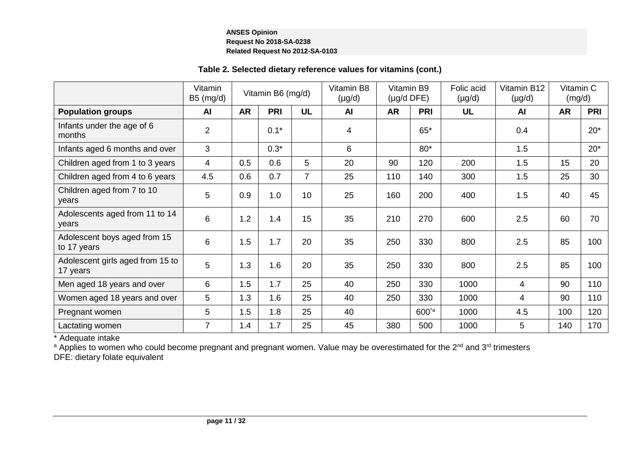# **Table 2. Selected dietary reference values for vitamins (cont.)**

|                                              | Vitamin<br>$B5$ (mg/d) |           | Vitamin B6 (mg/d) |                | Vitamin B8<br>$(\mu g/d)$ | Vitamin B9<br>$(\mu g/d$ DFE) |                   | Folic acid<br>$(\mu g/d)$ | Vitamin B12<br>$(\mu g/d)$ | Vitamin C<br>(mg/d) |            |
|----------------------------------------------|------------------------|-----------|-------------------|----------------|---------------------------|-------------------------------|-------------------|---------------------------|----------------------------|---------------------|------------|
| <b>Population groups</b>                     | AI                     | <b>AR</b> | <b>PRI</b>        | <b>UL</b>      | <b>AI</b>                 | <b>AR</b>                     | <b>PRI</b>        | <b>UL</b>                 | AI                         | <b>AR</b>           | <b>PRI</b> |
| Infants under the age of 6<br>months         | $\overline{2}$         |           | $0.1*$            |                | 4                         |                               | $65*$             |                           | 0.4                        |                     | $20*$      |
| Infants aged 6 months and over               | 3                      |           | $0.3*$            |                | 6                         |                               | $80*$             |                           | 1.5                        |                     | $20*$      |
| Children aged from 1 to 3 years              | 4                      | 0.5       | 0.6               | 5              | 20                        | 90                            | 120               | 200                       | 1.5                        | 15                  | 20         |
| Children aged from 4 to 6 years              | 4.5                    | 0.6       | 0.7               | $\overline{7}$ | 25                        | 110                           | 140               | 300                       | 1.5                        | 25                  | 30         |
| Children aged from 7 to 10<br>years          | 5                      | 0.9       | 1.0               | 10             | 25                        | 160                           | 200               | 400                       | 1.5                        | 40                  | 45         |
| Adolescents aged from 11 to 14<br>vears      | 6                      | 1.2       | 1.4               | 15             | 35                        | 210                           | 270               | 600                       | 2.5                        | 60                  | 70         |
| Adolescent boys aged from 15<br>to 17 years  | 6                      | 1.5       | 1.7               | 20             | 35                        | 250                           | 330               | 800                       | 2.5                        | 85                  | 100        |
| Adolescent girls aged from 15 to<br>17 years | 5                      | 1.3       | 1.6               | 20             | 35                        | 250                           | 330               | 800                       | 2.5                        | 85                  | 100        |
| Men aged 18 years and over                   | 6                      | 1.5       | 1.7               | 25             | 40                        | 250                           | 330               | 1000                      | 4                          | 90                  | 110        |
| Women aged 18 years and over                 | 5                      | 1.3       | 1.6               | 25             | 40                        | 250                           | 330               | 1000                      | 4                          | 90                  | 110        |
| Pregnant women                               | 5                      | 1.5       | 1.8               | 25             | 40                        |                               | $600^{\text{ta}}$ | 1000                      | 4.5                        | 100                 | 120        |
| Lactating women                              | $\overline{7}$         | 1.4       | 1.7               | 25             | 45                        | 380                           | 500               | 1000                      | 5                          | 140                 | 170        |

\* Adequate intake

a Applies to women who could become pregnant and pregnant women. Value may be overestimated for the 2<sup>nd</sup> and 3<sup>rd</sup> trimesters

DFE: dietary folate equivalent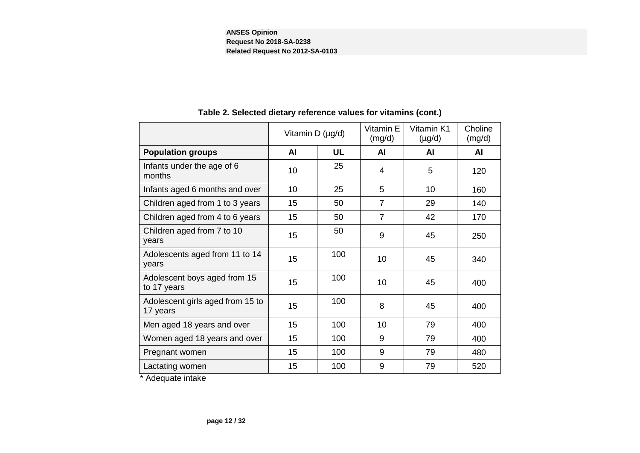|                                              | Vitamin D (µg/d) |           | Vitamin E<br>(mg/d) | Vitamin K1<br>$(\mu g/d)$ | Choline<br>(mg/d) |
|----------------------------------------------|------------------|-----------|---------------------|---------------------------|-------------------|
| <b>Population groups</b>                     | <b>AI</b>        | <b>UL</b> | <b>AI</b>           | AI                        | <b>AI</b>         |
| Infants under the age of 6<br>months         | 10               | 25        | 4                   | 5                         | 120               |
| Infants aged 6 months and over               | 10               | 25        | 5                   | 10                        | 160               |
| Children aged from 1 to 3 years              | 15               | 50        | $\overline{7}$      | 29                        | 140               |
| Children aged from 4 to 6 years              | 15               | 50        | $\overline{7}$      | 42                        | 170               |
| Children aged from 7 to 10<br>years          | 15               | 50        | 9                   | 45                        | 250               |
| Adolescents aged from 11 to 14<br>years      | 15               | 100       | 10                  | 45                        | 340               |
| Adolescent boys aged from 15<br>to 17 years  | 15               | 100       | 10                  | 45                        | 400               |
| Adolescent girls aged from 15 to<br>17 years | 15               | 100       | 8                   | 45                        | 400               |
| Men aged 18 years and over                   | 15               | 100       | 10                  | 79                        | 400               |
| Women aged 18 years and over                 | 15               | 100       | 9                   | 79                        | 400               |
| Pregnant women                               | 15               | 100       | 9                   | 79                        | 480               |
| Lactating women                              | 15               | 100       | 9                   | 79                        | 520               |

# **Table 2. Selected dietary reference values for vitamins (cont.)**

\* Adequate intake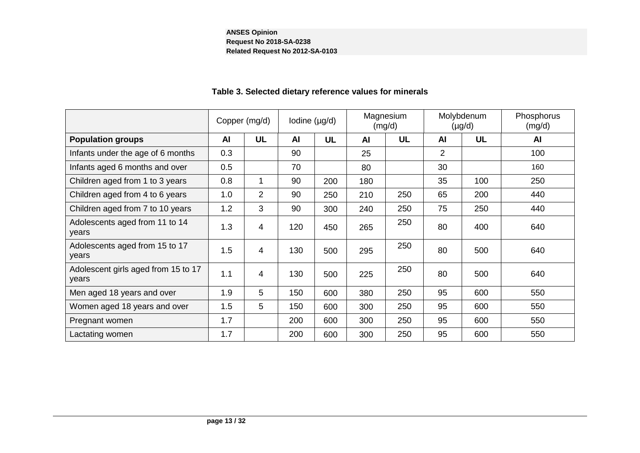<span id="page-12-0"></span>

|                                              | Copper (mg/d) |           | lodine $(\mu g/d)$ |           | Magnesium<br>(mg/d) |           | Molybdenum<br>$(\mu g/d)$ |     | Phosphorus<br>(mg/d) |
|----------------------------------------------|---------------|-----------|--------------------|-----------|---------------------|-----------|---------------------------|-----|----------------------|
| <b>Population groups</b>                     | <b>AI</b>     | <b>UL</b> | <b>AI</b>          | <b>UL</b> | AI                  | <b>UL</b> | AI                        | UL  | <b>AI</b>            |
| Infants under the age of 6 months            | 0.3           |           | 90                 |           | 25                  |           | $\overline{2}$            |     | 100                  |
| Infants aged 6 months and over               | 0.5           |           | 70                 |           | 80                  |           | 30                        |     | 160                  |
| Children aged from 1 to 3 years              | 0.8           | 1         | 90                 | 200       | 180                 |           | 35                        | 100 | 250                  |
| Children aged from 4 to 6 years              | 1.0           | 2         | 90                 | 250       | 210                 | 250       | 65                        | 200 | 440                  |
| Children aged from 7 to 10 years             | 1.2           | 3         | 90                 | 300       | 240                 | 250       | 75                        | 250 | 440                  |
| Adolescents aged from 11 to 14<br>years      | 1.3           | 4         | 120                | 450       | 265                 | 250       | 80                        | 400 | 640                  |
| Adolescents aged from 15 to 17<br>years      | 1.5           | 4         | 130                | 500       | 295                 | 250       | 80                        | 500 | 640                  |
| Adolescent girls aged from 15 to 17<br>years | 1.1           | 4         | 130                | 500       | 225                 | 250       | 80                        | 500 | 640                  |
| Men aged 18 years and over                   | 1.9           | 5         | 150                | 600       | 380                 | 250       | 95                        | 600 | 550                  |
| Women aged 18 years and over                 | 1.5           | 5         | 150                | 600       | 300                 | 250       | 95                        | 600 | 550                  |
| Pregnant women                               | 1.7           |           | 200                | 600       | 300                 | 250       | 95                        | 600 | 550                  |
| Lactating women                              | 1.7           |           | 200                | 600       | 300                 | 250       | 95                        | 600 | 550                  |

# **Table 3. Selected dietary reference values for minerals**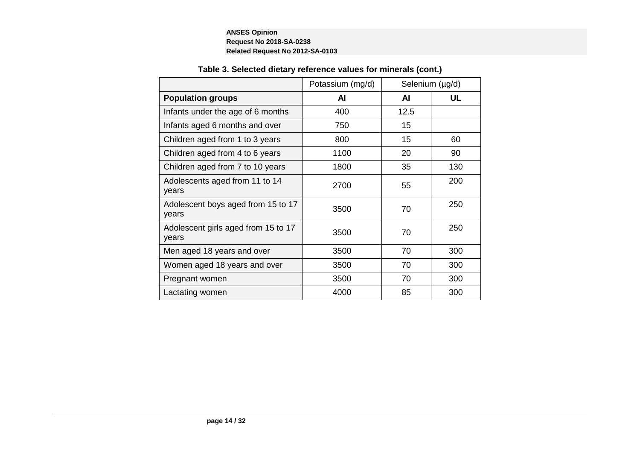|                                              | Potassium (mg/d) |      | Selenium (µg/d) |
|----------------------------------------------|------------------|------|-----------------|
| <b>Population groups</b>                     | Al               | AI   | UL              |
| Infants under the age of 6 months            | 400              | 12.5 |                 |
| Infants aged 6 months and over               | 750              | 15   |                 |
| Children aged from 1 to 3 years              | 800              | 15   | 60              |
| Children aged from 4 to 6 years              | 1100             | 20   | 90              |
| Children aged from 7 to 10 years             | 1800             | 35   | 130             |
| Adolescents aged from 11 to 14<br>years      | 2700             | 55   | 200             |
| Adolescent boys aged from 15 to 17<br>years  | 3500             | 70   | 250             |
| Adolescent girls aged from 15 to 17<br>years | 3500             | 70   | 250             |
| Men aged 18 years and over                   | 3500             | 70   | 300             |
| Women aged 18 years and over                 | 3500             | 70   | 300             |
| Pregnant women                               | 3500             | 70   | 300             |
| Lactating women                              | 4000             | 85   | 300             |

# **Table 3. Selected dietary reference values for minerals (cont.)**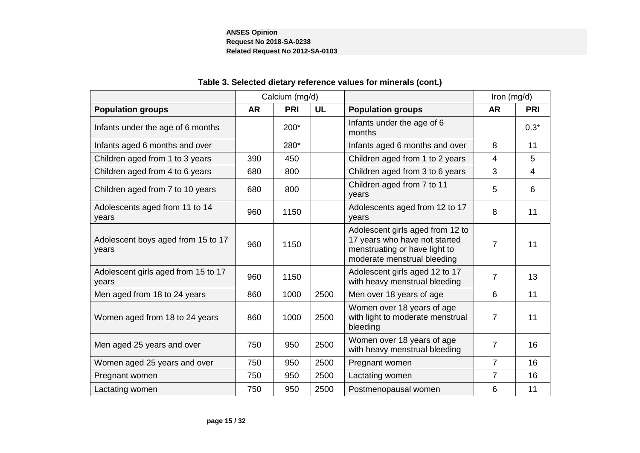|                                              |           | Calcium (mg/d) |           |                                                                                                                                   | Iron (mg/d)    |                |
|----------------------------------------------|-----------|----------------|-----------|-----------------------------------------------------------------------------------------------------------------------------------|----------------|----------------|
| <b>Population groups</b>                     | <b>AR</b> | PRI            | <b>UL</b> | <b>Population groups</b>                                                                                                          | <b>AR</b>      | <b>PRI</b>     |
| Infants under the age of 6 months            |           | 200*           |           | Infants under the age of 6<br>months                                                                                              |                | $0.3*$         |
| Infants aged 6 months and over               |           | 280*           |           | Infants aged 6 months and over                                                                                                    | 8              | 11             |
| Children aged from 1 to 3 years              | 390       | 450            |           | Children aged from 1 to 2 years                                                                                                   | 4              | 5              |
| Children aged from 4 to 6 years              | 680       | 800            |           | Children aged from 3 to 6 years                                                                                                   | 3              | $\overline{4}$ |
| Children aged from 7 to 10 years             | 680       | 800            |           | Children aged from 7 to 11<br>years                                                                                               | 5              | 6              |
| Adolescents aged from 11 to 14<br>years      | 960       | 1150           |           | Adolescents aged from 12 to 17<br>years                                                                                           | 8              | 11             |
| Adolescent boys aged from 15 to 17<br>years  | 960       | 1150           |           | Adolescent girls aged from 12 to<br>17 years who have not started<br>menstruating or have light to<br>moderate menstrual bleeding | 7              | 11             |
| Adolescent girls aged from 15 to 17<br>years | 960       | 1150           |           | Adolescent girls aged 12 to 17<br>with heavy menstrual bleeding                                                                   | 7              | 13             |
| Men aged from 18 to 24 years                 | 860       | 1000           | 2500      | Men over 18 years of age                                                                                                          | 6              | 11             |
| Women aged from 18 to 24 years               | 860       | 1000           | 2500      | Women over 18 years of age<br>with light to moderate menstrual<br>bleeding                                                        | 7              | 11             |
| Men aged 25 years and over                   | 750       | 950            | 2500      | Women over 18 years of age<br>with heavy menstrual bleeding                                                                       | 7              | 16             |
| Women aged 25 years and over                 | 750       | 950            | 2500      | Pregnant women                                                                                                                    | $\overline{7}$ | 16             |
| Pregnant women                               | 750       | 950            | 2500      | Lactating women                                                                                                                   | 7              | 16             |
| Lactating women                              | 750       | 950            | 2500      | Postmenopausal women                                                                                                              | 6              | 11             |

# **Table 3. Selected dietary reference values for minerals (cont.)**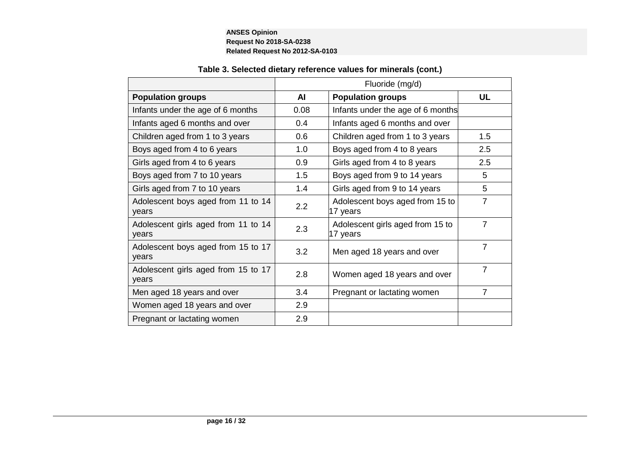п

| AI   | <b>Population groups</b>                     | <b>UL</b>       |
|------|----------------------------------------------|-----------------|
| 0.08 | Infants under the age of 6 months            |                 |
| 0.4  | Infants aged 6 months and over               |                 |
| 0.6  | Children aged from 1 to 3 years              | 1.5             |
| 1.0  | Boys aged from 4 to 8 years                  | 2.5             |
| 0.9  | Girls aged from 4 to 8 years                 | 2.5             |
| 1.5  | Boys aged from 9 to 14 years                 | 5               |
| 1.4  | Girls aged from 9 to 14 years                | 5               |
| 2.2  | Adolescent boys aged from 15 to<br>17 years  | $\overline{7}$  |
| 2.3  | Adolescent girls aged from 15 to<br>17 years | $\overline{7}$  |
| 3.2  | Men aged 18 years and over                   | $\overline{7}$  |
| 2.8  | Women aged 18 years and over                 | $\overline{7}$  |
| 3.4  | Pregnant or lactating women                  | $\overline{7}$  |
| 2.9  |                                              |                 |
| 2.9  |                                              |                 |
|      |                                              | Fluoride (mg/d) |

# **Table 3. Selected dietary reference values for minerals (cont.)**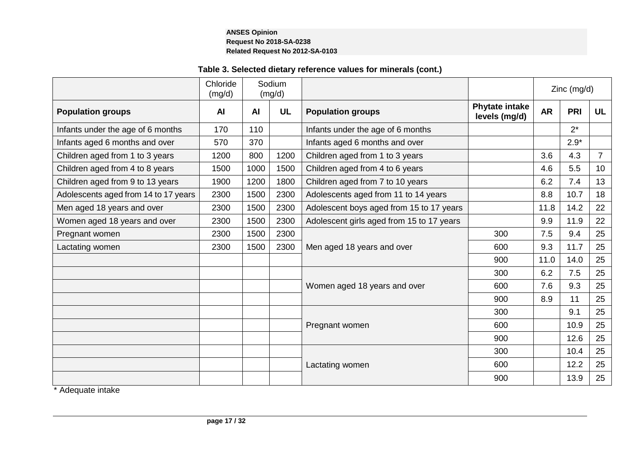# **Table 3. Selected dietary reference values for minerals (cont.)**

|                                      | Chloride<br>(mg/d) |           | Sodium<br>(mg/d) |                                           |                                        |           | $Zinc$ (mg/d) |                |
|--------------------------------------|--------------------|-----------|------------------|-------------------------------------------|----------------------------------------|-----------|---------------|----------------|
| <b>Population groups</b>             | <b>AI</b>          | <b>AI</b> | <b>UL</b>        | <b>Population groups</b>                  | <b>Phytate intake</b><br>levels (mg/d) | <b>AR</b> | PRI           | <b>UL</b>      |
| Infants under the age of 6 months    | 170                | 110       |                  | Infants under the age of 6 months         |                                        |           | $2^*$         |                |
| Infants aged 6 months and over       | 570                | 370       |                  | Infants aged 6 months and over            |                                        |           | $2.9*$        |                |
| Children aged from 1 to 3 years      | 1200               | 800       | 1200             | Children aged from 1 to 3 years           |                                        | 3.6       | 4.3           | $\overline{7}$ |
| Children aged from 4 to 8 years      | 1500               | 1000      | 1500             | Children aged from 4 to 6 years           |                                        | 4.6       | 5.5           | 10             |
| Children aged from 9 to 13 years     | 1900               | 1200      | 1800             | Children aged from 7 to 10 years          |                                        | 6.2       | 7.4           | 13             |
| Adolescents aged from 14 to 17 years | 2300               | 1500      | 2300             | Adolescents aged from 11 to 14 years      |                                        | 8.8       | 10.7          | 18             |
| Men aged 18 years and over           | 2300               | 1500      | 2300             | Adolescent boys aged from 15 to 17 years  |                                        | 11.8      | 14.2          | 22             |
| Women aged 18 years and over         | 2300               | 1500      | 2300             | Adolescent girls aged from 15 to 17 years |                                        | 9.9       | 11.9          | 22             |
| Pregnant women                       | 2300               | 1500      | 2300             |                                           | 300                                    | 7.5       | 9.4           | 25             |
| Lactating women                      | 2300               | 1500      | 2300             | Men aged 18 years and over                | 600                                    | 9.3       | 11.7          | 25             |
|                                      |                    |           |                  |                                           | 900                                    | 11.0      | 14.0          | 25             |
|                                      |                    |           |                  |                                           | 300                                    | 6.2       | 7.5           | 25             |
|                                      |                    |           |                  | Women aged 18 years and over              | 600                                    | 7.6       | 9.3           | 25             |
|                                      |                    |           |                  |                                           | 900                                    | 8.9       | 11            | 25             |
|                                      |                    |           |                  |                                           | 300                                    |           | 9.1           | 25             |
|                                      |                    |           |                  | Pregnant women                            | 600                                    |           | 10.9          | 25             |
|                                      |                    |           |                  |                                           | 900                                    |           | 12.6          | 25             |
|                                      |                    |           |                  |                                           | 300                                    |           | 10.4          | 25             |
|                                      |                    |           |                  | Lactating women                           | 600                                    |           | 12.2          | 25             |
|                                      |                    |           |                  |                                           | 900                                    |           | 13.9          | 25             |

\* Adequate intake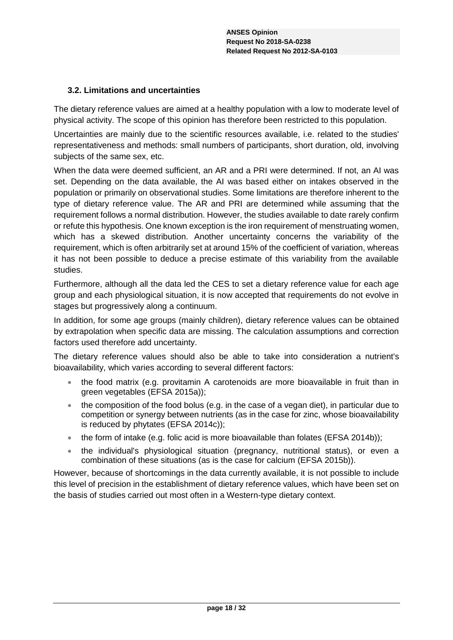# **3.2. Limitations and uncertainties**

The dietary reference values are aimed at a healthy population with a low to moderate level of physical activity. The scope of this opinion has therefore been restricted to this population.

Uncertainties are mainly due to the scientific resources available, i.e. related to the studies' representativeness and methods: small numbers of participants, short duration, old, involving subjects of the same sex, etc.

When the data were deemed sufficient, an AR and a PRI were determined. If not, an AI was set. Depending on the data available, the AI was based either on intakes observed in the population or primarily on observational studies. Some limitations are therefore inherent to the type of dietary reference value. The AR and PRI are determined while assuming that the requirement follows a normal distribution. However, the studies available to date rarely confirm or refute this hypothesis. One known exception is the iron requirement of menstruating women, which has a skewed distribution. Another uncertainty concerns the variability of the requirement, which is often arbitrarily set at around 15% of the coefficient of variation, whereas it has not been possible to deduce a precise estimate of this variability from the available studies.

Furthermore, although all the data led the CES to set a dietary reference value for each age group and each physiological situation, it is now accepted that requirements do not evolve in stages but progressively along a continuum.

In addition, for some age groups (mainly children), dietary reference values can be obtained by extrapolation when specific data are missing. The calculation assumptions and correction factors used therefore add uncertainty.

The dietary reference values should also be able to take into consideration a nutrient's bioavailability, which varies according to several different factors:

- the food matrix (e.g. provitamin A carotenoids are more bioavailable in fruit than in green vegetables (EFSA 2015a));
- the composition of the food bolus (e.g. in the case of a vegan diet), in particular due to competition or synergy between nutrients (as in the case for zinc, whose bioavailability is reduced by phytates (EFSA 2014c));
- $\bullet$  the form of intake (e.g. folic acid is more bioavailable than folates (EFSA 2014b));
- the individual's physiological situation (pregnancy, nutritional status), or even a combination of these situations (as is the case for calcium (EFSA 2015b)).

However, because of shortcomings in the data currently available, it is not possible to include this level of precision in the establishment of dietary reference values, which have been set on the basis of studies carried out most often in a Western-type dietary context.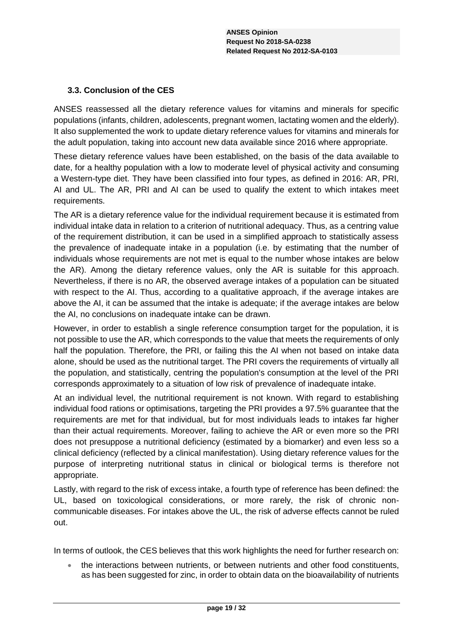# **3.3. Conclusion of the CES**

ANSES reassessed all the dietary reference values for vitamins and minerals for specific populations (infants, children, adolescents, pregnant women, lactating women and the elderly). It also supplemented the work to update dietary reference values for vitamins and minerals for the adult population, taking into account new data available since 2016 where appropriate.

These dietary reference values have been established, on the basis of the data available to date, for a healthy population with a low to moderate level of physical activity and consuming a Western-type diet. They have been classified into four types, as defined in 2016: AR, PRI, AI and UL. The AR, PRI and AI can be used to qualify the extent to which intakes meet requirements.

The AR is a dietary reference value for the individual requirement because it is estimated from individual intake data in relation to a criterion of nutritional adequacy. Thus, as a centring value of the requirement distribution, it can be used in a simplified approach to statistically assess the prevalence of inadequate intake in a population (i.e. by estimating that the number of individuals whose requirements are not met is equal to the number whose intakes are below the AR). Among the dietary reference values, only the AR is suitable for this approach. Nevertheless, if there is no AR, the observed average intakes of a population can be situated with respect to the AI. Thus, according to a qualitative approach, if the average intakes are above the AI, it can be assumed that the intake is adequate; if the average intakes are below the AI, no conclusions on inadequate intake can be drawn.

However, in order to establish a single reference consumption target for the population, it is not possible to use the AR, which corresponds to the value that meets the requirements of only half the population. Therefore, the PRI, or failing this the AI when not based on intake data alone, should be used as the nutritional target. The PRI covers the requirements of virtually all the population, and statistically, centring the population's consumption at the level of the PRI corresponds approximately to a situation of low risk of prevalence of inadequate intake.

At an individual level, the nutritional requirement is not known. With regard to establishing individual food rations or optimisations, targeting the PRI provides a 97.5% guarantee that the requirements are met for that individual, but for most individuals leads to intakes far higher than their actual requirements. Moreover, failing to achieve the AR or even more so the PRI does not presuppose a nutritional deficiency (estimated by a biomarker) and even less so a clinical deficiency (reflected by a clinical manifestation). Using dietary reference values for the purpose of interpreting nutritional status in clinical or biological terms is therefore not appropriate.

Lastly, with regard to the risk of excess intake, a fourth type of reference has been defined: the UL, based on toxicological considerations, or more rarely, the risk of chronic noncommunicable diseases. For intakes above the UL, the risk of adverse effects cannot be ruled out.

In terms of outlook, the CES believes that this work highlights the need for further research on:

 the interactions between nutrients, or between nutrients and other food constituents, as has been suggested for zinc, in order to obtain data on the bioavailability of nutrients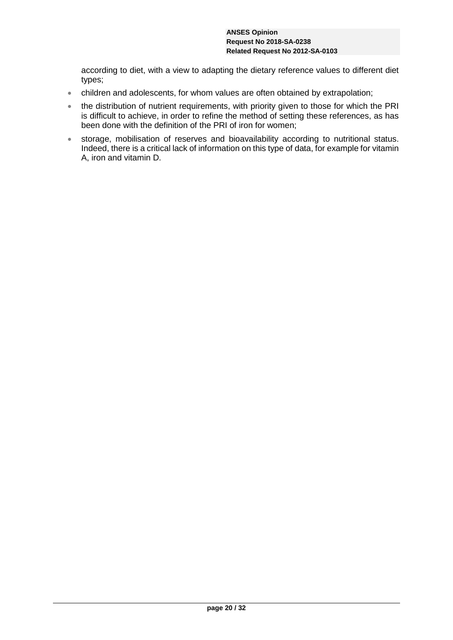according to diet, with a view to adapting the dietary reference values to different diet types;

- children and adolescents, for whom values are often obtained by extrapolation;
- the distribution of nutrient requirements, with priority given to those for which the PRI is difficult to achieve, in order to refine the method of setting these references, as has been done with the definition of the PRI of iron for women;
- storage, mobilisation of reserves and bioavailability according to nutritional status. Indeed, there is a critical lack of information on this type of data, for example for vitamin A, iron and vitamin D.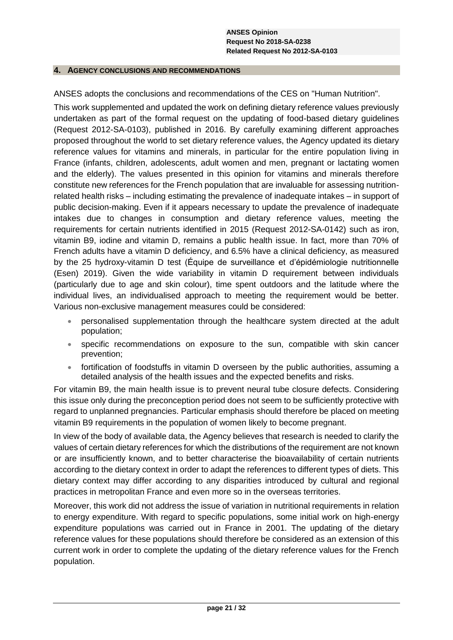#### **4. AGENCY CONCLUSIONS AND RECOMMENDATIONS**

ANSES adopts the conclusions and recommendations of the CES on "Human Nutrition".

This work supplemented and updated the work on defining dietary reference values previously undertaken as part of the formal request on the updating of food-based dietary guidelines (Request 2012-SA-0103), published in 2016. By carefully examining different approaches proposed throughout the world to set dietary reference values, the Agency updated its dietary reference values for vitamins and minerals, in particular for the entire population living in France (infants, children, adolescents, adult women and men, pregnant or lactating women and the elderly). The values presented in this opinion for vitamins and minerals therefore constitute new references for the French population that are invaluable for assessing nutritionrelated health risks – including estimating the prevalence of inadequate intakes – in support of public decision-making. Even if it appears necessary to update the prevalence of inadequate intakes due to changes in consumption and dietary reference values, meeting the requirements for certain nutrients identified in 2015 (Request 2012-SA-0142) such as iron, vitamin B9, iodine and vitamin D, remains a public health issue. In fact, more than 70% of French adults have a vitamin D deficiency, and 6.5% have a clinical deficiency, as measured by the 25 hydroxy-vitamin D test (Équipe de surveillance et d'épidémiologie nutritionnelle (Esen) 2019). Given the wide variability in vitamin D requirement between individuals (particularly due to age and skin colour), time spent outdoors and the latitude where the individual lives, an individualised approach to meeting the requirement would be better. Various non-exclusive management measures could be considered:

- personalised supplementation through the healthcare system directed at the adult population;
- specific recommendations on exposure to the sun, compatible with skin cancer prevention;
- fortification of foodstuffs in vitamin D overseen by the public authorities, assuming a detailed analysis of the health issues and the expected benefits and risks.

For vitamin B9, the main health issue is to prevent neural tube closure defects. Considering this issue only during the preconception period does not seem to be sufficiently protective with regard to unplanned pregnancies. Particular emphasis should therefore be placed on meeting vitamin B9 requirements in the population of women likely to become pregnant.

In view of the body of available data, the Agency believes that research is needed to clarify the values of certain dietary references for which the distributions of the requirement are not known or are insufficiently known, and to better characterise the bioavailability of certain nutrients according to the dietary context in order to adapt the references to different types of diets. This dietary context may differ according to any disparities introduced by cultural and regional practices in metropolitan France and even more so in the overseas territories.

Moreover, this work did not address the issue of variation in nutritional requirements in relation to energy expenditure. With regard to specific populations, some initial work on high-energy expenditure populations was carried out in France in 2001. The updating of the dietary reference values for these populations should therefore be considered as an extension of this current work in order to complete the updating of the dietary reference values for the French population.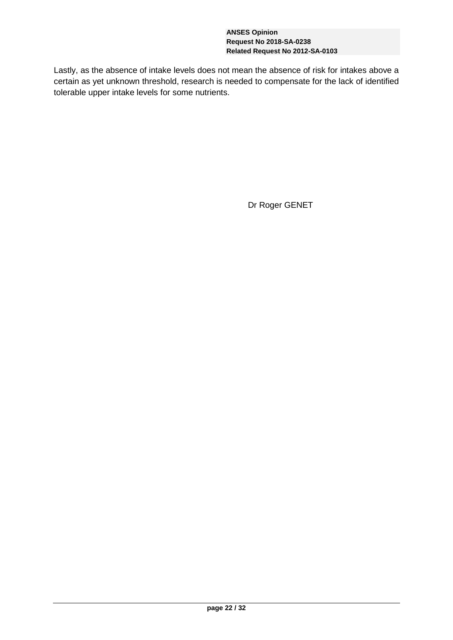Lastly, as the absence of intake levels does not mean the absence of risk for intakes above a certain as yet unknown threshold, research is needed to compensate for the lack of identified tolerable upper intake levels for some nutrients.

Dr Roger GENET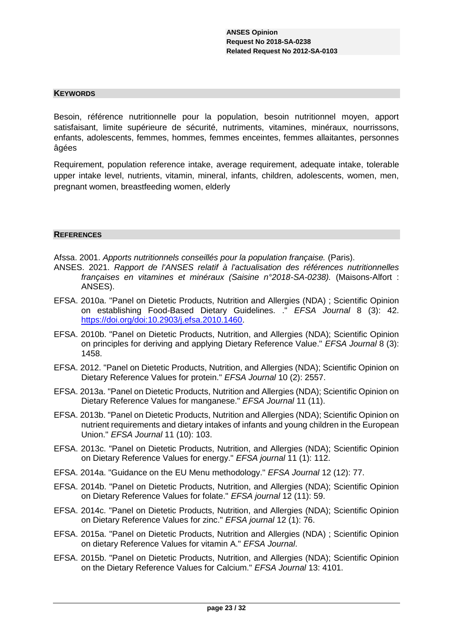#### **KEYWORDS**

Besoin, référence nutritionnelle pour la population, besoin nutritionnel moyen, apport satisfaisant, limite supérieure de sécurité, nutriments, vitamines, minéraux, nourrissons, enfants, adolescents, femmes, hommes, femmes enceintes, femmes allaitantes, personnes âgées

Requirement, population reference intake, average requirement, adequate intake, tolerable upper intake level, nutrients, vitamin, mineral, infants, children, adolescents, women, men, pregnant women, breastfeeding women, elderly

#### **REFERENCES**

Afssa. 2001. *Apports nutritionnels conseillés pour la population française.* (Paris).

- ANSES. 2021. *Rapport de l'ANSES relatif à l'actualisation des références nutritionnelles françaises en vitamines et minéraux (Saisine n°2018-SA-0238).* (Maisons-Alfort : ANSES).
- EFSA. 2010a. "Panel on Dietetic Products, Nutrition and Allergies (NDA) ; Scientific Opinion on establishing Food-Based Dietary Guidelines. ." *EFSA Journal* 8 (3): 42. [https://doi.org/doi:10.2903/j.efsa.2010.1460.](https://doi.org/doi:10.2903/j.efsa.2010.1460)
- EFSA. 2010b. "Panel on Dietetic Products, Nutrition, and Allergies (NDA); Scientific Opinion on principles for deriving and applying Dietary Reference Value." *EFSA Journal* 8 (3): 1458.
- EFSA. 2012. "Panel on Dietetic Products, Nutrition, and Allergies (NDA); Scientific Opinion on Dietary Reference Values for protein." *EFSA Journal* 10 (2): 2557.
- EFSA. 2013a. "Panel on Dietetic Products, Nutrition and Allergies (NDA); Scientific Opinion on Dietary Reference Values for manganese." *EFSA Journal* 11 (11).
- EFSA. 2013b. "Panel on Dietetic Products, Nutrition and Allergies (NDA); Scientific Opinion on nutrient requirements and dietary intakes of infants and young children in the European Union." *EFSA Journal* 11 (10): 103.
- EFSA. 2013c. "Panel on Dietetic Products, Nutrition, and Allergies (NDA); Scientific Opinion on Dietary Reference Values for energy." *EFSA journal* 11 (1): 112.
- EFSA. 2014a. "Guidance on the EU Menu methodology." *EFSA Journal* 12 (12): 77.
- EFSA. 2014b. "Panel on Dietetic Products, Nutrition, and Allergies (NDA); Scientific Opinion on Dietary Reference Values for folate." *EFSA journal* 12 (11): 59.
- EFSA. 2014c. "Panel on Dietetic Products, Nutrition, and Allergies (NDA); Scientific Opinion on Dietary Reference Values for zinc." *EFSA journal* 12 (1): 76.
- EFSA. 2015a. "Panel on Dietetic Products, Nutrition and Allergies (NDA) ; Scientific Opinion on dietary Reference Values for vitamin A." *EFSA Journal*.
- EFSA. 2015b. "Panel on Dietetic Products, Nutrition, and Allergies (NDA); Scientific Opinion on the Dietary Reference Values for Calcium." *EFSA Journal* 13: 4101.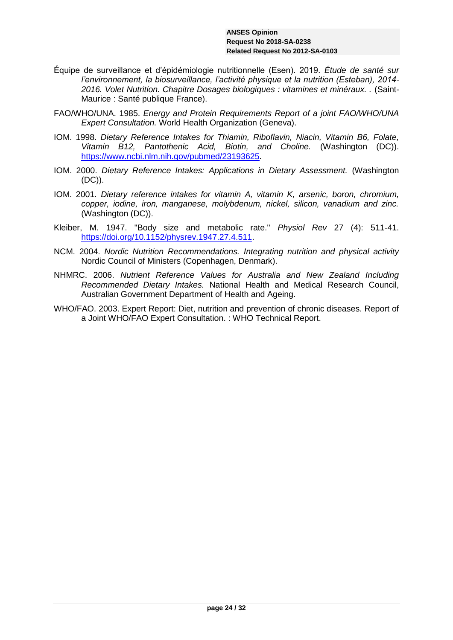- Équipe de surveillance et d'épidémiologie nutritionnelle (Esen). 2019. *Étude de santé sur l'environnement, la biosurveillance, l'activité physique et la nutrition (Esteban), 2014- 2016. Volet Nutrition. Chapitre Dosages biologiques : vitamines et minéraux. .* (Saint-Maurice : Santé publique France).
- FAO/WHO/UNA. 1985. *Energy and Protein Requirements Report of a joint FAO/WHO/UNA Expert Consultation.* World Health Organization (Geneva).
- IOM. 1998. *Dietary Reference Intakes for Thiamin, Riboflavin, Niacin, Vitamin B6, Folate, Vitamin B12, Pantothenic Acid, Biotin, and Choline.* (Washington (DC)). [https://www.ncbi.nlm.nih.gov/pubmed/23193625.](https://www.ncbi.nlm.nih.gov/pubmed/23193625)
- IOM. 2000. *Dietary Reference Intakes: Applications in Dietary Assessment.* (Washington (DC)).
- IOM. 2001. *Dietary reference intakes for vitamin A, vitamin K, arsenic, boron, chromium, copper, iodine, iron, manganese, molybdenum, nickel, silicon, vanadium and zinc.*  (Washington (DC)).
- Kleiber, M. 1947. "Body size and metabolic rate." *Physiol Rev* 27 (4): 511-41. [https://doi.org/10.1152/physrev.1947.27.4.511.](https://doi.org/10.1152/physrev.1947.27.4.511)
- NCM. 2004. *Nordic Nutrition Recommendations. Integrating nutrition and physical activity*  Nordic Council of Ministers (Copenhagen, Denmark).
- NHMRC. 2006. *Nutrient Reference Values for Australia and New Zealand Including Recommended Dietary Intakes.* National Health and Medical Research Council, Australian Government Department of Health and Ageing.
- WHO/FAO. 2003. Expert Report: Diet, nutrition and prevention of chronic diseases. Report of a Joint WHO/FAO Expert Consultation. : WHO Technical Report.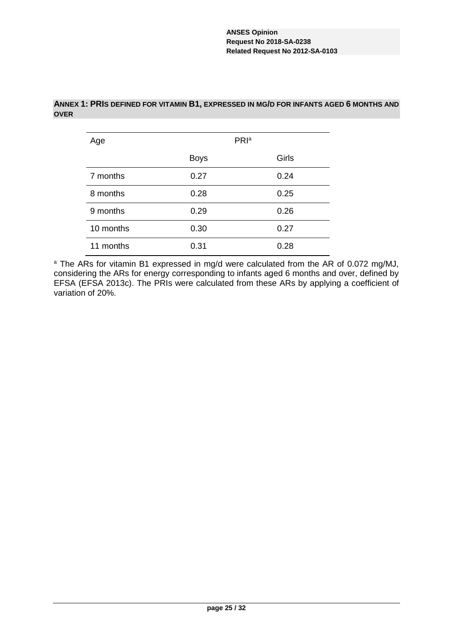| Age       |             | PRI <sup>a</sup> |
|-----------|-------------|------------------|
|           | <b>Boys</b> | Girls            |
| 7 months  | 0.27        | 0.24             |
| 8 months  | 0.28        | 0.25             |
| 9 months  | 0.29        | 0.26             |
| 10 months | 0.30        | 0.27             |
| 11 months | 0.31        | 0.28             |

### **ANNEX 1: PRIS DEFINED FOR VITAMIN B1, EXPRESSED IN MG/D FOR INFANTS AGED 6 MONTHS AND OVER**

<sup>a</sup> The ARs for vitamin B1 expressed in mg/d were calculated from the AR of 0.072 mg/MJ, considering the ARs for energy corresponding to infants aged 6 months and over, defined by EFSA (EFSA 2013c). The PRIs were calculated from these ARs by applying a coefficient of variation of 20%.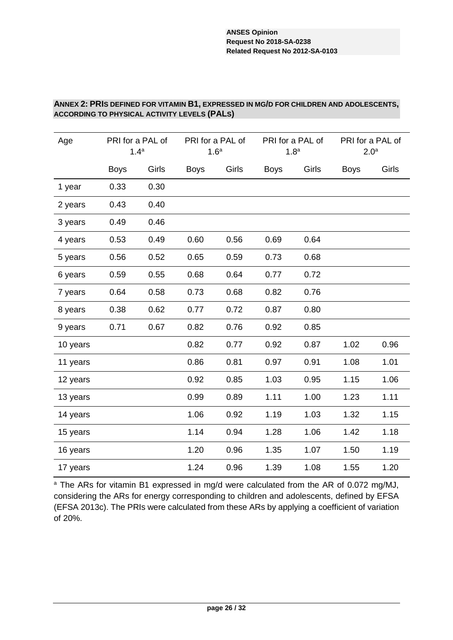### **ANNEX 2: PRIS DEFINED FOR VITAMIN B1, EXPRESSED IN MG/D FOR CHILDREN AND ADOLESCENTS, ACCORDING TO PHYSICAL ACTIVITY LEVELS (PALS)**

| Age      | PRI for a PAL of<br>1.4 <sup>a</sup> |       |             | PRI for a PAL of<br>1.6 <sup>a</sup> |             | PRI for a PAL of<br>1.8 <sup>a</sup> |             | PRI for a PAL of<br>2.0 <sup>a</sup> |  |  |
|----------|--------------------------------------|-------|-------------|--------------------------------------|-------------|--------------------------------------|-------------|--------------------------------------|--|--|
|          | <b>Boys</b>                          | Girls | <b>Boys</b> | Girls                                | <b>Boys</b> | Girls                                | <b>Boys</b> | Girls                                |  |  |
| 1 year   | 0.33                                 | 0.30  |             |                                      |             |                                      |             |                                      |  |  |
| 2 years  | 0.43                                 | 0.40  |             |                                      |             |                                      |             |                                      |  |  |
| 3 years  | 0.49                                 | 0.46  |             |                                      |             |                                      |             |                                      |  |  |
| 4 years  | 0.53                                 | 0.49  | 0.60        | 0.56                                 | 0.69        | 0.64                                 |             |                                      |  |  |
| 5 years  | 0.56                                 | 0.52  | 0.65        | 0.59                                 | 0.73        | 0.68                                 |             |                                      |  |  |
| 6 years  | 0.59                                 | 0.55  | 0.68        | 0.64                                 | 0.77        | 0.72                                 |             |                                      |  |  |
| 7 years  | 0.64                                 | 0.58  | 0.73        | 0.68                                 | 0.82        | 0.76                                 |             |                                      |  |  |
| 8 years  | 0.38                                 | 0.62  | 0.77        | 0.72                                 | 0.87        | 0.80                                 |             |                                      |  |  |
| 9 years  | 0.71                                 | 0.67  | 0.82        | 0.76                                 | 0.92        | 0.85                                 |             |                                      |  |  |
| 10 years |                                      |       | 0.82        | 0.77                                 | 0.92        | 0.87                                 | 1.02        | 0.96                                 |  |  |
| 11 years |                                      |       | 0.86        | 0.81                                 | 0.97        | 0.91                                 | 1.08        | 1.01                                 |  |  |
| 12 years |                                      |       | 0.92        | 0.85                                 | 1.03        | 0.95                                 | 1.15        | 1.06                                 |  |  |
| 13 years |                                      |       | 0.99        | 0.89                                 | 1.11        | 1.00                                 | 1.23        | 1.11                                 |  |  |
| 14 years |                                      |       | 1.06        | 0.92                                 | 1.19        | 1.03                                 | 1.32        | 1.15                                 |  |  |
| 15 years |                                      |       | 1.14        | 0.94                                 | 1.28        | 1.06                                 | 1.42        | 1.18                                 |  |  |
| 16 years |                                      |       | 1.20        | 0.96                                 | 1.35        | 1.07                                 | 1.50        | 1.19                                 |  |  |
| 17 years |                                      |       | 1.24        | 0.96                                 | 1.39        | 1.08                                 | 1.55        | 1.20                                 |  |  |

<sup>a</sup> The ARs for vitamin B1 expressed in mg/d were calculated from the AR of 0.072 mg/MJ, considering the ARs for energy corresponding to children and adolescents, defined by EFSA (EFSA 2013c). The PRIs were calculated from these ARs by applying a coefficient of variation of 20%.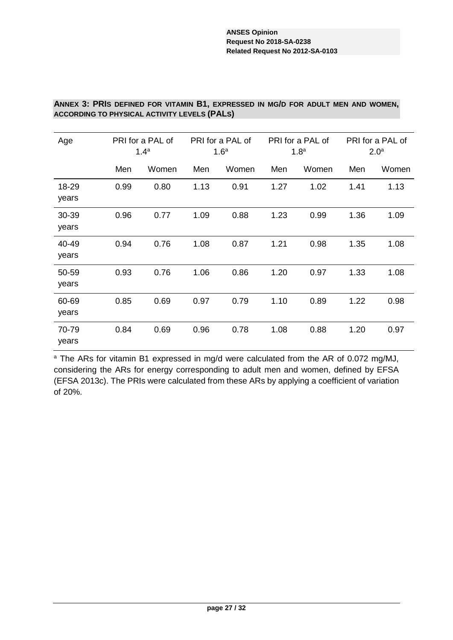### **ANNEX 3: PRIS DEFINED FOR VITAMIN B1, EXPRESSED IN MG/D FOR ADULT MEN AND WOMEN, ACCORDING TO PHYSICAL ACTIVITY LEVELS (PALS)**

| Age            | PRI for a PAL of<br>1.4 <sup>a</sup> |       |      | PRI for a PAL of<br>1.6 <sup>a</sup> |      | PRI for a PAL of<br>1.8 <sup>a</sup> | PRI for a PAL of<br>2.0 <sup>a</sup> |       |  |
|----------------|--------------------------------------|-------|------|--------------------------------------|------|--------------------------------------|--------------------------------------|-------|--|
|                | Men                                  | Women | Men  | Women                                | Men  | Women                                | Men                                  | Women |  |
| 18-29<br>years | 0.99                                 | 0.80  | 1.13 | 0.91                                 | 1.27 | 1.02                                 | 1.41                                 | 1.13  |  |
| 30-39<br>years | 0.96                                 | 0.77  | 1.09 | 0.88                                 | 1.23 | 0.99                                 | 1.36                                 | 1.09  |  |
| 40-49<br>years | 0.94                                 | 0.76  | 1.08 | 0.87                                 | 1.21 | 0.98                                 | 1.35                                 | 1.08  |  |
| 50-59<br>years | 0.93                                 | 0.76  | 1.06 | 0.86                                 | 1.20 | 0.97                                 | 1.33                                 | 1.08  |  |
| 60-69<br>years | 0.85                                 | 0.69  | 0.97 | 0.79                                 | 1.10 | 0.89                                 | 1.22                                 | 0.98  |  |
| 70-79<br>years | 0.84                                 | 0.69  | 0.96 | 0.78                                 | 1.08 | 0.88                                 | 1.20                                 | 0.97  |  |

a The ARs for vitamin B1 expressed in mg/d were calculated from the AR of 0.072 mg/MJ, considering the ARs for energy corresponding to adult men and women, defined by EFSA (EFSA 2013c). The PRIs were calculated from these ARs by applying a coefficient of variation of 20%.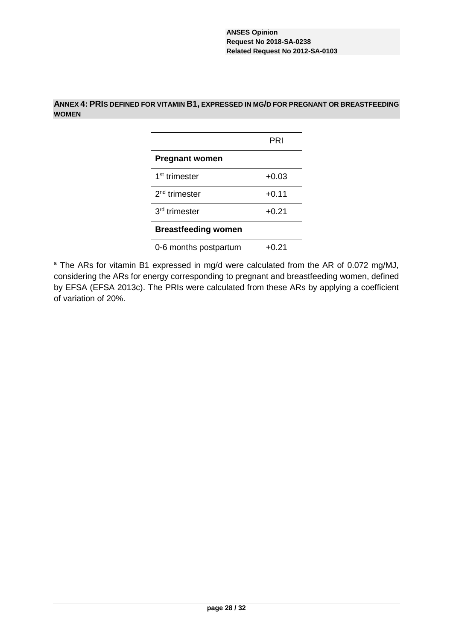# **ANNEX 4: PRIS DEFINED FOR VITAMIN B1, EXPRESSED IN MG/D FOR PREGNANT OR BREASTFEEDING WOMEN**

|                            | PRI     |
|----------------------------|---------|
| <b>Pregnant women</b>      |         |
| 1 <sup>st</sup> trimester  | $+0.03$ |
| $2nd$ trimester            | $+0.11$ |
| 3 <sup>rd</sup> trimester  | $+0.21$ |
| <b>Breastfeeding women</b> |         |
| 0-6 months postpartum      | +0.21   |

<sup>a</sup> The ARs for vitamin B1 expressed in mg/d were calculated from the AR of 0.072 mg/MJ, considering the ARs for energy corresponding to pregnant and breastfeeding women, defined by EFSA (EFSA 2013c). The PRIs were calculated from these ARs by applying a coefficient of variation of 20%.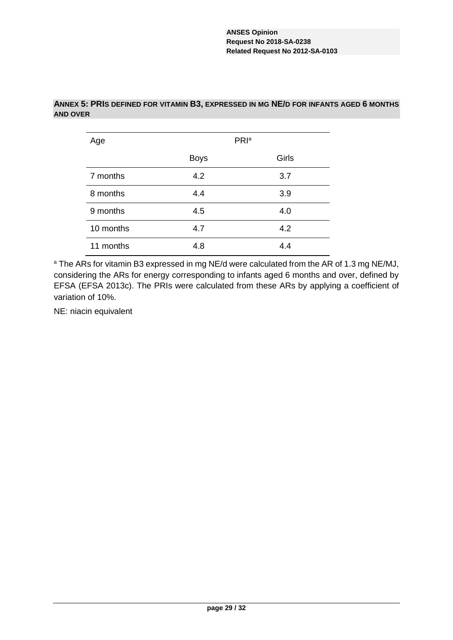| Age       | PRI <sup>a</sup> |       |  |
|-----------|------------------|-------|--|
|           | <b>Boys</b>      | Girls |  |
| 7 months  | 4.2              | 3.7   |  |
| 8 months  | 4.4              | 3.9   |  |
| 9 months  | 4.5              | 4.0   |  |
| 10 months | 4.7              | 4.2   |  |
| 11 months | 4.8              | 4.4   |  |

### **ANNEX 5: PRIS DEFINED FOR VITAMIN B3, EXPRESSED IN MG NE/D FOR INFANTS AGED 6 MONTHS AND OVER**

<sup>a</sup> The ARs for vitamin B3 expressed in mg NE/d were calculated from the AR of 1.3 mg NE/MJ, considering the ARs for energy corresponding to infants aged 6 months and over, defined by EFSA (EFSA 2013c). The PRIs were calculated from these ARs by applying a coefficient of variation of 10%.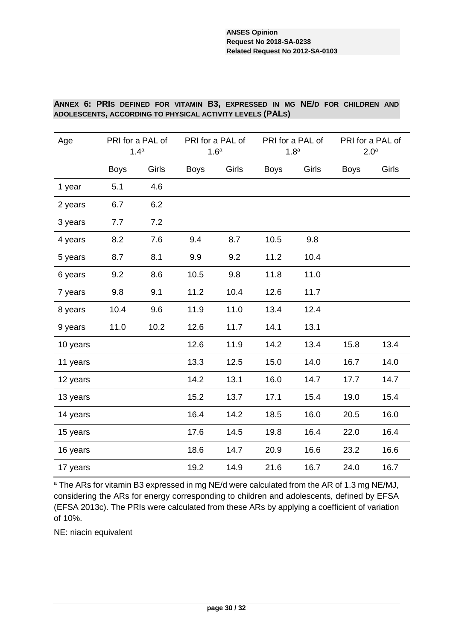### **ANNEX 6: PRIS DEFINED FOR VITAMIN B3, EXPRESSED IN MG NE/D FOR CHILDREN AND ADOLESCENTS, ACCORDING TO PHYSICAL ACTIVITY LEVELS (PALS)**

| Age      |             | PRI for a PAL of<br>1.4 <sup>a</sup> | PRI for a PAL of<br>1.6 <sup>a</sup> |       | PRI for a PAL of<br>1.8 <sup>a</sup> |       | PRI for a PAL of<br>2.0 <sup>a</sup> |       |
|----------|-------------|--------------------------------------|--------------------------------------|-------|--------------------------------------|-------|--------------------------------------|-------|
|          | <b>Boys</b> | Girls                                | <b>Boys</b>                          | Girls | <b>Boys</b>                          | Girls | <b>Boys</b>                          | Girls |
| 1 year   | 5.1         | 4.6                                  |                                      |       |                                      |       |                                      |       |
| 2 years  | 6.7         | 6.2                                  |                                      |       |                                      |       |                                      |       |
| 3 years  | 7.7         | 7.2                                  |                                      |       |                                      |       |                                      |       |
| 4 years  | 8.2         | 7.6                                  | 9.4                                  | 8.7   | 10.5                                 | 9.8   |                                      |       |
| 5 years  | 8.7         | 8.1                                  | 9.9                                  | 9.2   | 11.2                                 | 10.4  |                                      |       |
| 6 years  | 9.2         | 8.6                                  | 10.5                                 | 9.8   | 11.8                                 | 11.0  |                                      |       |
| 7 years  | 9.8         | 9.1                                  | 11.2                                 | 10.4  | 12.6                                 | 11.7  |                                      |       |
| 8 years  | 10.4        | 9.6                                  | 11.9                                 | 11.0  | 13.4                                 | 12.4  |                                      |       |
| 9 years  | 11.0        | 10.2                                 | 12.6                                 | 11.7  | 14.1                                 | 13.1  |                                      |       |
| 10 years |             |                                      | 12.6                                 | 11.9  | 14.2                                 | 13.4  | 15.8                                 | 13.4  |
| 11 years |             |                                      | 13.3                                 | 12.5  | 15.0                                 | 14.0  | 16.7                                 | 14.0  |
| 12 years |             |                                      | 14.2                                 | 13.1  | 16.0                                 | 14.7  | 17.7                                 | 14.7  |
| 13 years |             |                                      | 15.2                                 | 13.7  | 17.1                                 | 15.4  | 19.0                                 | 15.4  |
| 14 years |             |                                      | 16.4                                 | 14.2  | 18.5                                 | 16.0  | 20.5                                 | 16.0  |
| 15 years |             |                                      | 17.6                                 | 14.5  | 19.8                                 | 16.4  | 22.0                                 | 16.4  |
| 16 years |             |                                      | 18.6                                 | 14.7  | 20.9                                 | 16.6  | 23.2                                 | 16.6  |
| 17 years |             |                                      | 19.2                                 | 14.9  | 21.6                                 | 16.7  | 24.0                                 | 16.7  |

<sup>a</sup> The ARs for vitamin B3 expressed in mg NE/d were calculated from the AR of 1.3 mg NE/MJ, considering the ARs for energy corresponding to children and adolescents, defined by EFSA (EFSA 2013c). The PRIs were calculated from these ARs by applying a coefficient of variation of 10%.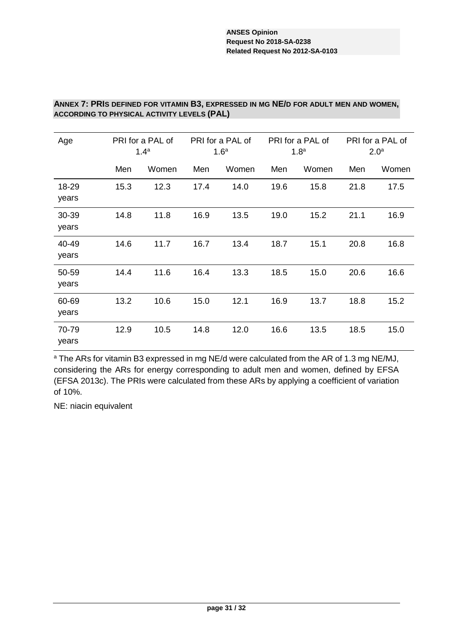### **ANNEX 7: PRIS DEFINED FOR VITAMIN B3, EXPRESSED IN MG NE/D FOR ADULT MEN AND WOMEN, ACCORDING TO PHYSICAL ACTIVITY LEVELS (PAL)**

| Age            |      | PRI for a PAL of<br>1.4 <sup>a</sup> | PRI for a PAL of<br>1.6 <sup>a</sup> |       | PRI for a PAL of<br>1.8 <sup>a</sup> |       | PRI for a PAL of<br>2.0 <sup>a</sup> |       |
|----------------|------|--------------------------------------|--------------------------------------|-------|--------------------------------------|-------|--------------------------------------|-------|
|                | Men  | Women                                | Men                                  | Women | Men                                  | Women | Men                                  | Women |
| 18-29<br>years | 15.3 | 12.3                                 | 17.4                                 | 14.0  | 19.6                                 | 15.8  | 21.8                                 | 17.5  |
| 30-39<br>years | 14.8 | 11.8                                 | 16.9                                 | 13.5  | 19.0                                 | 15.2  | 21.1                                 | 16.9  |
| 40-49<br>years | 14.6 | 11.7                                 | 16.7                                 | 13.4  | 18.7                                 | 15.1  | 20.8                                 | 16.8  |
| 50-59<br>years | 14.4 | 11.6                                 | 16.4                                 | 13.3  | 18.5                                 | 15.0  | 20.6                                 | 16.6  |
| 60-69<br>years | 13.2 | 10.6                                 | 15.0                                 | 12.1  | 16.9                                 | 13.7  | 18.8                                 | 15.2  |
| 70-79<br>years | 12.9 | 10.5                                 | 14.8                                 | 12.0  | 16.6                                 | 13.5  | 18.5                                 | 15.0  |

<sup>a</sup> The ARs for vitamin B3 expressed in mg NE/d were calculated from the AR of 1.3 mg NE/MJ, considering the ARs for energy corresponding to adult men and women, defined by EFSA (EFSA 2013c). The PRIs were calculated from these ARs by applying a coefficient of variation of 10%.